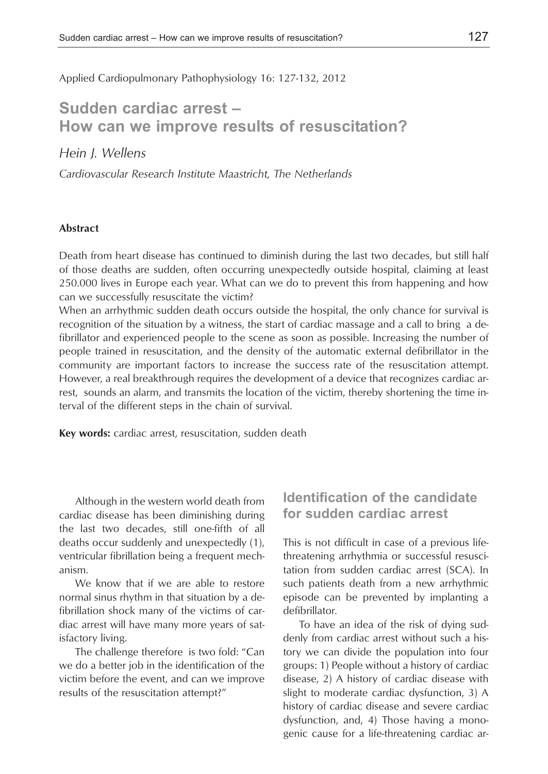Applied Cardiopulmonary Pathophysiology 16: 127-132, 2012

# **Sudden cardiac arrest – How can we improve results of resuscitation?**

*Hein J. Wellens*

*Cardiovascular Research Institute Maastricht, The Netherlands*

#### **Abstract**

Death from heart disease has continued to diminish during the last two decades, but still half of those deaths are sudden, often occurring unexpectedly outside hospital, claiming at least 250.000 lives in Europe each year. What can we do to prevent this from happening and how can we successfully resuscitate the victim?

When an arrhythmic sudden death occurs outside the hospital, the only chance for survival is recognition of the situation by a witness, the start of cardiac massage and a call to bring a defibrillator and experienced people to the scene as soon as possible. Increasing the number of people trained in resuscitation, and the density of the automatic external defibrillator in the community are important factors to increase the success rate of the resuscitation attempt. However, a real breakthrough requires the development of a device that recognizes cardiac arrest, sounds an alarm, and transmits the location of the victim, thereby shortening the time interval of the different steps in the chain of survival.

**Key words:** cardiac arrest, resuscitation, sudden death

Although in the western world death from cardiac disease has been diminishing during the last two decades, still one-fifth of all deaths occur suddenly and unexpectedly (1), ventricular fibrillation being a frequent mechanism.

We know that if we are able to restore normal sinus rhythm in that situation by a defibrillation shock many of the victims of cardiac arrest will have many more years of satisfactory living.

The challenge therefore is two fold: "Can we do a better job in the identification of the victim before the event, and can we improve results of the resuscitation attempt?"

### **Identification of the candidate for sudden cardiac arrest**

This is not difficult in case of a previous lifethreatening arrhythmia or successful resuscitation from sudden cardiac arrest (SCA). In such patients death from a new arrhythmic episode can be prevented by implanting a defibrillator.

To have an idea of the risk of dying suddenly from cardiac arrest without such a history we can divide the population into four groups: 1) People without a history of cardiac disease, 2) A history of cardiac disease with slight to moderate cardiac dysfunction, 3) A history of cardiac disease and severe cardiac dysfunction, and, 4) Those having a monogenic cause for a life-threatening cardiac ar-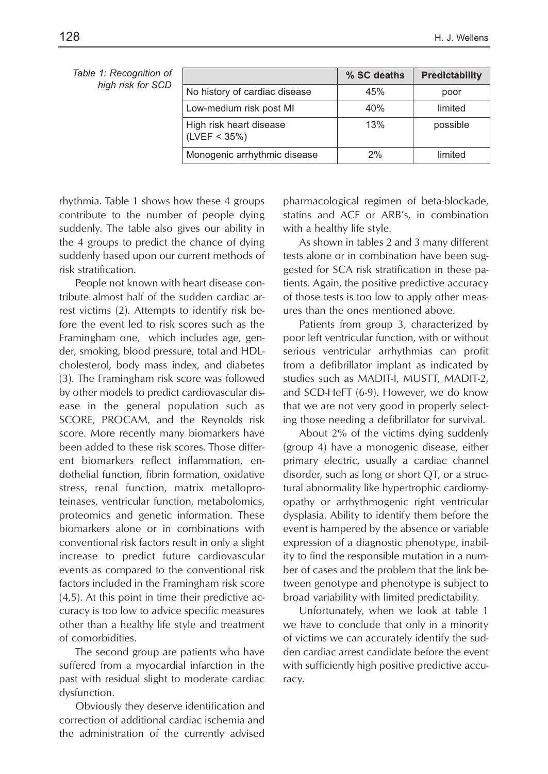| Table 1: Recognition of<br>high risk for SCD |                                         | % SC deaths | Predictability |
|----------------------------------------------|-----------------------------------------|-------------|----------------|
|                                              | No history of cardiac disease           | 45%         | poor           |
|                                              | Low-medium risk post MI                 | 40%         | limited        |
|                                              | High risk heart disease<br>(LVEF < 35%) | 13%         | possible       |
|                                              | Monogenic arrhythmic disease            | 2%          | limited        |

rhythmia. Table 1 shows how these 4 groups contribute to the number of people dying suddenly. The table also gives our ability in the 4 groups to predict the chance of dying suddenly based upon our current methods of risk stratification.

People not known with heart disease contribute almost half of the sudden cardiac arrest victims (2). Attempts to identify risk before the event led to risk scores such as the Framingham one, which includes age, gender, smoking, blood pressure, total and HDLcholesterol, body mass index, and diabetes (3). The Framingham risk score was followed by other models to predict cardiovascular disease in the general population such as SCORE, PROCAM, and the Reynolds risk score. More recently many biomarkers have been added to these risk scores. Those different biomarkers reflect inflammation, endothelial function, fibrin formation, oxidative stress, renal function, matrix metalloproteinases, ventricular function, metabolomics, proteomics and genetic information. These biomarkers alone or in combinations with conventional risk factors result in only a slight increase to predict future cardiovascular events as compared to the conventional risk factors included in the Framingham risk score (4,5). At this point in time their predictive accuracy is too low to advice specific measures other than a healthy life style and treatment of comorbidities.

The second group are patients who have suffered from a myocardial infarction in the past with residual slight to moderate cardiac dysfunction.

Obviously they deserve identification and correction of additional cardiac ischemia and the administration of the currently advised pharmacological regimen of beta-blockade, statins and ACE or ARB's, in combination with a healthy life style.

As shown in tables 2 and 3 many different tests alone or in combination have been suggested for SCA risk stratification in these patients. Again, the positive predictive accuracy of those tests is too low to apply other measures than the ones mentioned above.

Patients from group 3, characterized by poor left ventricular function, with or without serious ventricular arrhythmias can profit from a defibrillator implant as indicated by studies such as MADIT-I, MUSTT, MADIT-2, and SCD-HeFT (6-9). However, we do know that we are not very good in properly selecting those needing a defibrillator for survival.

About 2% of the victims dying suddenly (group 4) have a monogenic disease, either primary electric, usually a cardiac channel disorder, such as long or short QT, or a structural abnormality like hypertrophic cardiomyopathy or arrhythmogenic right ventricular dysplasia. Ability to identify them before the event is hampered by the absence or variable expression of a diagnostic phenotype, inability to find the responsible mutation in a number of cases and the problem that the link between genotype and phenotype is subject to broad variability with limited predictability.

Unfortunately, when we look at table 1 we have to conclude that only in a minority of victims we can accurately identify the sudden cardiac arrest candidate before the event with sufficiently high positive predictive accuracy.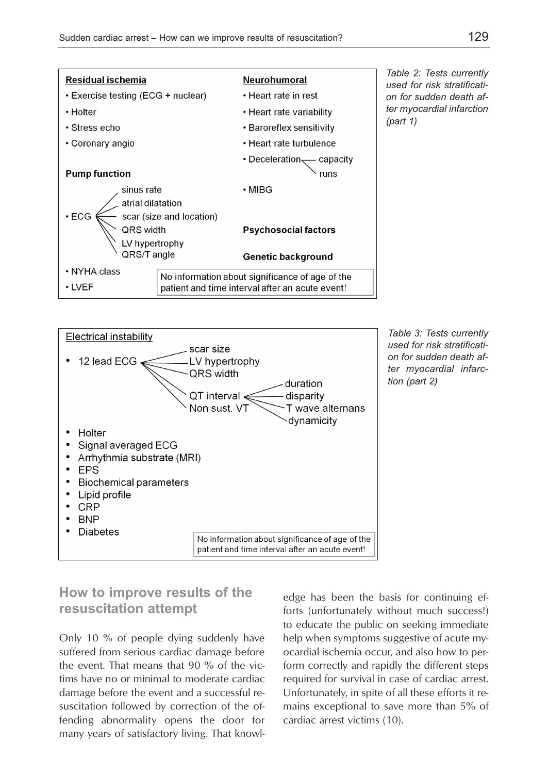



*Table 3: Tests currently used for risk stratification for sudden death after myocardial infarc tion (part 2)*

### **How to improve results of the resuscitation attempt**

Only 10 % of people dying suddenly have suffered from serious cardiac damage before the event. That means that 90 % of the victims have no or minimal to moderate cardiac damage before the event and a successful resuscitation followed by correction of the offending abnormality opens the door for many years of satisfactory living. That knowledge has been the basis for continuing efforts (unfortunately without much success!) to educate the public on seeking immediate help when symptoms suggestive of acute myocardial ischemia occur, and also how to perform correctly and rapidly the different steps required for survival in case of cardiac arrest. Unfortunately, in spite of all these efforts it remains exceptional to save more than 5% of cardiac arrest victims (10).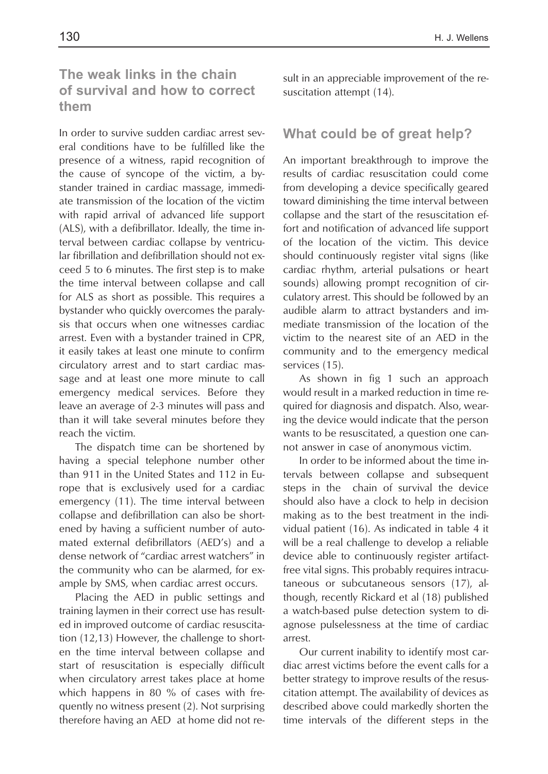## **The weak links in the chain of survival and how to correct them**

In order to survive sudden cardiac arrest several conditions have to be fulfilled like the presence of a witness, rapid recognition of the cause of syncope of the victim, a bystander trained in cardiac massage, immediate transmission of the location of the victim with rapid arrival of advanced life support (ALS), with a defibrillator. Ideally, the time interval between cardiac collapse by ventricular fibrillation and defibrillation should not exceed 5 to 6 minutes. The first step is to make the time interval between collapse and call for ALS as short as possible. This requires a bystander who quickly overcomes the paralysis that occurs when one witnesses cardiac arrest. Even with a bystander trained in CPR, it easily takes at least one minute to confirm circulatory arrest and to start cardiac massage and at least one more minute to call emergency medical services. Before they leave an average of 2-3 minutes will pass and than it will take several minutes before they reach the victim.

The dispatch time can be shortened by having a special telephone number other than 911 in the United States and 112 in Europe that is exclusively used for a cardiac emergency (11). The time interval between collapse and defibrillation can also be shortened by having a sufficient number of automated external defibrillators (AED's) and a dense network of "cardiac arrest watchers" in the community who can be alarmed, for example by SMS, when cardiac arrest occurs.

Placing the AED in public settings and training laymen in their correct use has resulted in improved outcome of cardiac resuscitation (12,13) However, the challenge to shorten the time interval between collapse and start of resuscitation is especially difficult when circulatory arrest takes place at home which happens in 80 % of cases with frequently no witness present (2). Not surprising therefore having an AED at home did not result in an appreciable improvement of the resuscitation attempt (14).

### **What could be of great help?**

An important breakthrough to improve the results of cardiac resuscitation could come from developing a device specifically geared toward diminishing the time interval between collapse and the start of the resuscitation effort and notification of advanced life support of the location of the victim. This device should continuously register vital signs (like cardiac rhythm, arterial pulsations or heart sounds) allowing prompt recognition of circulatory arrest. This should be followed by an audible alarm to attract bystanders and immediate transmission of the location of the victim to the nearest site of an AED in the community and to the emergency medical services (15).

As shown in fig 1 such an approach would result in a marked reduction in time required for diagnosis and dispatch. Also, wearing the device would indicate that the person wants to be resuscitated, a question one cannot answer in case of anonymous victim.

In order to be informed about the time intervals between collapse and subsequent steps in the chain of survival the device should also have a clock to help in decision making as to the best treatment in the individual patient (16). As indicated in table 4 it will be a real challenge to develop a reliable device able to continuously register artifactfree vital signs. This probably requires intracutaneous or subcutaneous sensors (17), although, recently Rickard et al (18) published a watch-based pulse detection system to diagnose pulselessness at the time of cardiac arrest.

Our current inability to identify most cardiac arrest victims before the event calls for a better strategy to improve results of the resuscitation attempt. The availability of devices as described above could markedly shorten the time intervals of the different steps in the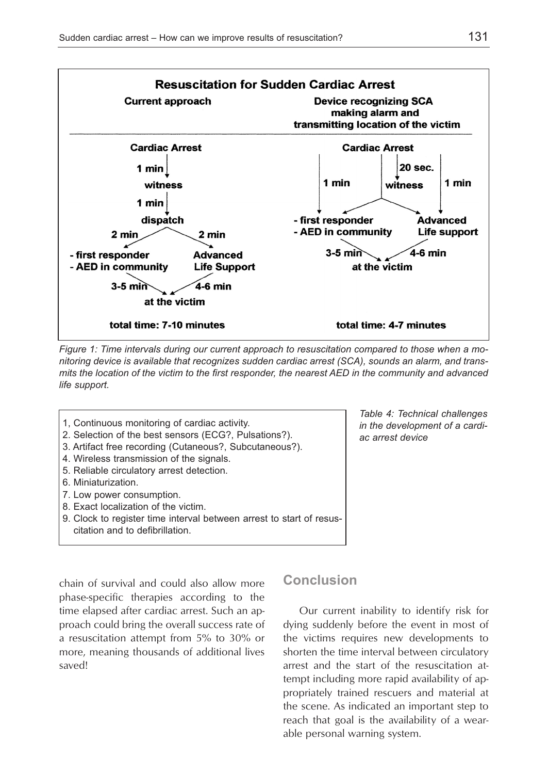

*Figure 1: Time intervals during our current approach to resuscitation compared to those when a monitoring device is available that recognizes sudden cardiac arrest (SCA), sounds an alarm, and transmits the location of the victim to the first responder, the nearest AED in the community and advanced life support.*

- 1, Continuous monitoring of cardiac activity.
- 2. Selection of the best sensors (ECG?, Pulsations?).
- 3. Artifact free recording (Cutaneous?, Subcutaneous?).
- 4. Wireless transmission of the signals.
- 5. Reliable circulatory arrest detection.
- 6. Miniaturization.
- 7. Low power consumption.
- 8. Exact localization of the victim.
- 9. Clock to register time interval between arrest to start of resuscitation and to defibrillation.

chain of survival and could also allow more phase-specific therapies according to the time elapsed after cardiac arrest. Such an approach could bring the overall success rate of a resuscitation attempt from 5% to 30% or more, meaning thousands of additional lives saved!

### **Conclusion**

Our current inability to identify risk for dying suddenly before the event in most of the victims requires new developments to shorten the time interval between circulatory arrest and the start of the resuscitation attempt including more rapid availability of appropriately trained rescuers and material at the scene. As indicated an important step to reach that goal is the availability of a wearable personal warning system.

*Table 4: Technical challenges in the development of a cardiac arrest device*